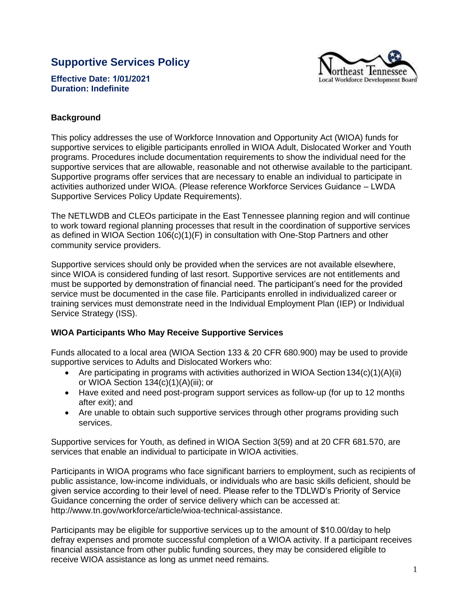# **Supportive Services Policy**



**Effective Date: 1/01/2021 Duration: Indefinite**

# **Background**

This policy addresses the use of Workforce Innovation and Opportunity Act (WIOA) funds for supportive services to eligible participants enrolled in WIOA Adult, Dislocated Worker and Youth programs. Procedures include documentation requirements to show the individual need for the supportive services that are allowable, reasonable and not otherwise available to the participant. Supportive programs offer services that are necessary to enable an individual to participate in activities authorized under WIOA. (Please reference Workforce Services Guidance – LWDA Supportive Services Policy Update Requirements).

The NETLWDB and CLEOs participate in the East Tennessee planning region and will continue to work toward regional planning processes that result in the coordination of supportive services as defined in WIOA Section 106(c)(1)(F) in consultation with One-Stop Partners and other community service providers.

Supportive services should only be provided when the services are not available elsewhere, since WIOA is considered funding of last resort. Supportive services are not entitlements and must be supported by demonstration of financial need. The participant's need for the provided service must be documented in the case file. Participants enrolled in individualized career or training services must demonstrate need in the Individual Employment Plan (IEP) or Individual Service Strategy (ISS).

## **WIOA Participants Who May Receive Supportive Services**

Funds allocated to a local area (WIOA Section 133 & 20 CFR 680.900) may be used to provide supportive services to Adults and Dislocated Workers who:

- Are participating in programs with activities authorized in WIOA Section  $134(c)(1)(A)(ii)$ or WIOA Section 134(c)(1)(A)(iii); or
- Have exited and need post-program support services as follow-up (for up to 12 months after exit); and
- Are unable to obtain such supportive services through other programs providing such services.

Supportive services for Youth, as defined in WIOA Section 3(59) and at 20 CFR 681.570, are services that enable an individual to participate in WIOA activities.

Participants in WIOA programs who face significant barriers to employment, such as recipients of public assistance, low-income individuals, or individuals who are basic skills deficient, should be given service according to their level of need. Please refer to the TDLWD's Priority of Service Guidance concerning the order of service delivery which can be accessed at: [http://www.tn.gov/workforce/article/wioa-technical-assistance.](http://www.tn.gov/workforce/article/wioa-technical-assistance) 

Participants may be eligible for supportive services up to the amount of \$10.00/day to help defray expenses and promote successful completion of a WIOA activity. If a participant receives financial assistance from other public funding sources, they may be considered eligible to receive WIOA assistance as long as unmet need remains.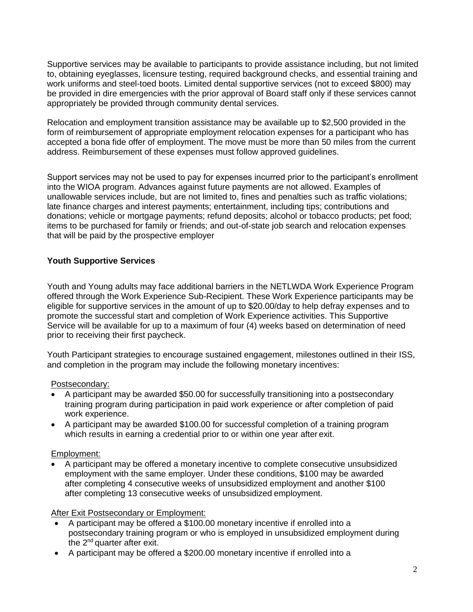Supportive services may be available to participants to provide assistance including, but not limited to, obtaining eyeglasses, licensure testing, required background checks, and essential training and work uniforms and steel-toed boots. Limited dental supportive services (not to exceed \$800) may be provided in dire emergencies with the prior approval of Board staff only if these services cannot appropriately be provided through community dental services.

Relocation and employment transition assistance may be available up to \$2,500 provided in the form of reimbursement of appropriate employment relocation expenses for a participant who has accepted a bona fide offer of employment. The move must be more than 50 miles from the current address. Reimbursement of these expenses must follow approved guidelines.

Support services may not be used to pay for expenses incurred prior to the participant's enrollment into the WIOA program. Advances against future payments are not allowed. Examples of unallowable services include, but are not limited to, fines and penalties such as traffic violations; late finance charges and interest payments; entertainment, including tips; contributions and donations; vehicle or mortgage payments; refund deposits; alcohol or tobacco products; pet food; items to be purchased for family or friends; and out-of-state job search and relocation expenses that will be paid by the prospective employer

# **Youth Supportive Services**

Youth and Young adults may face additional barriers in the NETLWDA Work Experience Program offered through the Work Experience Sub-Recipient. These Work Experience participants may be eligible for supportive services in the amount of up to \$20.00/day to help defray expenses and to promote the successful start and completion of Work Experience activities. This Supportive Service will be available for up to a maximum of four (4) weeks based on determination of need prior to receiving their first paycheck.

Youth Participant strategies to encourage sustained engagement, milestones outlined in their ISS, and completion in the program may include the following monetary incentives:

## Postsecondary:

- A participant may be awarded \$50.00 for successfully transitioning into a postsecondary training program during participation in paid work experience or after completion of paid work experience.
- A participant may be awarded \$100.00 for successful completion of a training program which results in earning a credential prior to or within one year after exit.

## Employment:

 A participant may be offered a monetary incentive to complete consecutive unsubsidized employment with the same employer. Under these conditions, \$100 may be awarded after completing 4 consecutive weeks of unsubsidized employment and another \$100 after completing 13 consecutive weeks of unsubsidized employment.

## After Exit Postsecondary or Employment:

- A participant may be offered a \$100.00 monetary incentive if enrolled into a postsecondary training program or who is employed in unsubsidized employment during the 2<sup>nd</sup> quarter after exit.
- A participant may be offered a \$200.00 monetary incentive if enrolled into a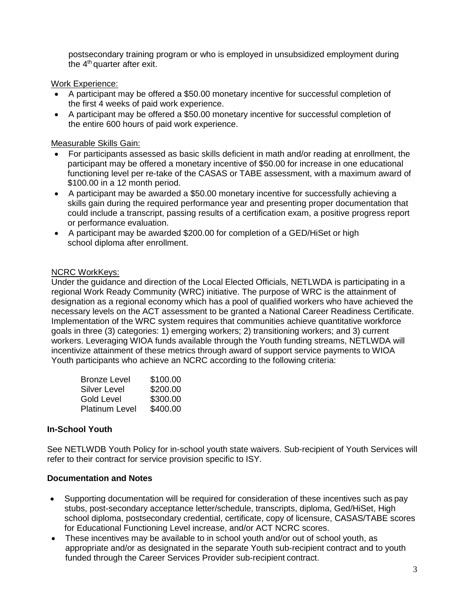postsecondary training program or who is employed in unsubsidized employment during the 4<sup>th</sup> quarter after exit.

# Work Experience:

- A participant may be offered a \$50.00 monetary incentive for successful completion of the first 4 weeks of paid work experience.
- A participant may be offered a \$50.00 monetary incentive for successful completion of the entire 600 hours of paid work experience.

# Measurable Skills Gain:

- For participants assessed as basic skills deficient in math and/or reading at enrollment, the participant may be offered a monetary incentive of \$50.00 for increase in one educational functioning level per re-take of the CASAS or TABE assessment, with a maximum award of \$100.00 in a 12 month period.
- A participant may be awarded a \$50.00 monetary incentive for successfully achieving a skills gain during the required performance year and presenting proper documentation that could include a transcript, passing results of a certification exam, a positive progress report or performance evaluation.
- A participant may be awarded \$200.00 for completion of a GED/HiSet or high school diploma after enrollment.

# NCRC WorkKeys:

Under the guidance and direction of the Local Elected Officials, NETLWDA is participating in a regional Work Ready Community (WRC) initiative. The purpose of WRC is the attainment of designation as a regional economy which has a pool of qualified workers who have achieved the necessary levels on the ACT assessment to be granted a National Career Readiness Certificate. Implementation of the WRC system requires that communities achieve quantitative workforce goals in three (3) categories: 1) emerging workers; 2) transitioning workers; and 3) current workers. Leveraging WIOA funds available through the Youth funding streams, NETLWDA will incentivize attainment of these metrics through award of support service payments to WIOA Youth participants who achieve an NCRC according to the following criteria:

| <b>Bronze Level</b>   | \$100.00 |
|-----------------------|----------|
| <b>Silver Level</b>   | \$200.00 |
| Gold Level            | \$300.00 |
| <b>Platinum Level</b> | \$400.00 |

# **In-School Youth**

See NETLWDB Youth Policy for in-school youth state waivers. Sub-recipient of Youth Services will refer to their contract for service provision specific to ISY.

## **Documentation and Notes**

- Supporting documentation will be required for consideration of these incentives such as pay stubs, post-secondary acceptance letter/schedule, transcripts, diploma, Ged/HiSet, High school diploma, postsecondary credential, certificate, copy of licensure, CASAS/TABE scores for Educational Functioning Level increase, and/or ACT NCRC scores.
- These incentives may be available to in school youth and/or out of school youth, as appropriate and/or as designated in the separate Youth sub-recipient contract and to youth funded through the Career Services Provider sub-recipient contract.